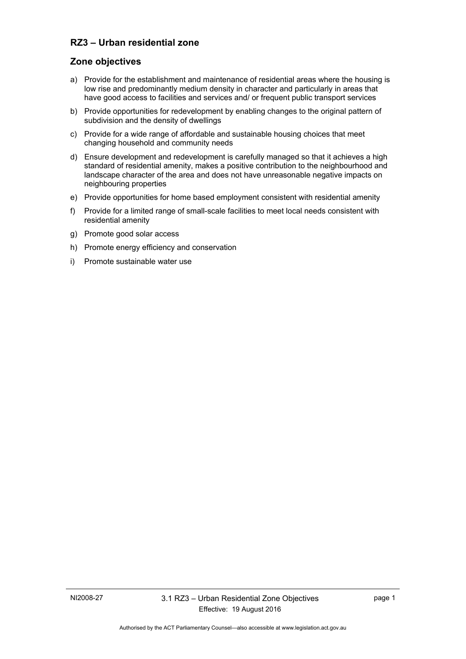## **RZ3 – Urban residential zone**

#### **Zone objectives**

- a) Provide for the establishment and maintenance of residential areas where the housing is low rise and predominantly medium density in character and particularly in areas that have good access to facilities and services and/ or frequent public transport services
- b) Provide opportunities for redevelopment by enabling changes to the original pattern of subdivision and the density of dwellings
- c) Provide for a wide range of affordable and sustainable housing choices that meet changing household and community needs
- d) Ensure development and redevelopment is carefully managed so that it achieves a high standard of residential amenity, makes a positive contribution to the neighbourhood and landscape character of the area and does not have unreasonable negative impacts on neighbouring properties
- e) Provide opportunities for home based employment consistent with residential amenity
- f) Provide for a limited range of small-scale facilities to meet local needs consistent with residential amenity
- g) Promote good solar access
- h) Promote energy efficiency and conservation
- i) Promote sustainable water use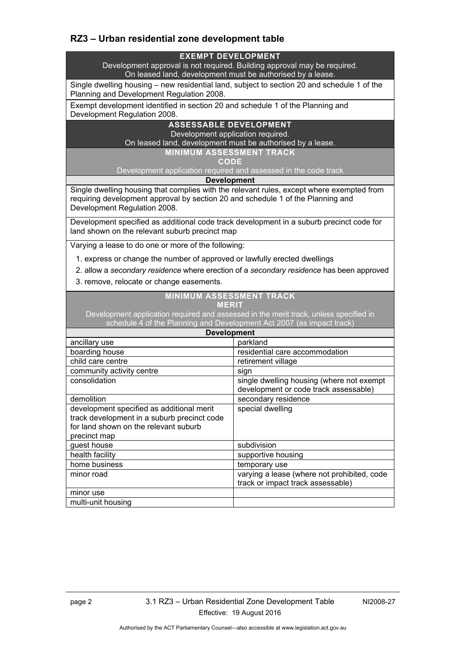# **RZ3 – Urban residential zone development table**

#### **EXEMPT DEVELOPMENT**

Development approval is not required. Building approval may be required. On leased land, development must be authorised by a lease.

Single dwelling housing – new residential land, subject to section 20 and schedule 1 of the Planning and Development Regulation 2008.

Exempt development identified in section 20 and schedule 1 of the Planning and Development Regulation 2008.

### **ASSESSABLE DEVELOPMENT**

Development application required.

On leased land, development must be authorised by a lease.

**MINIMUM ASSESSMENT TRACK** 

**CODE** 

Development application required and assessed in the code track

**Development**

Single dwelling housing that complies with the relevant rules, except where exempted from requiring development approval by section 20 and schedule 1 of the Planning and Development Regulation 2008.

Development specified as additional code track development in a suburb precinct code for land shown on the relevant suburb precinct map

Varying a lease to do one or more of the following:

- 1. express or change the number of approved or lawfully erected dwellings
- 2. allow a *secondary residence* where erection of a *secondary residence* has been approved
- 3. remove, relocate or change easements.

#### **MINIMUM ASSESSMENT TRACK**

|             |              |             |   | - |
|-------------|--------------|-------------|---|---|
|             |              |             |   |   |
| ∼<br>ـ<br>ー | M.<br>÷<br>- | ×<br>∼<br>- | ∼ |   |

Development application required and assessed in the merit track, unless specified in schedule 4 of the Planning and Development Act 2007 (as impact track)

| <b>Development</b>                          |                                             |  |  |
|---------------------------------------------|---------------------------------------------|--|--|
| ancillary use                               | parkland                                    |  |  |
| boarding house                              | residential care accommodation              |  |  |
| child care centre                           | retirement village                          |  |  |
| community activity centre                   | sign                                        |  |  |
| consolidation                               | single dwelling housing (where not exempt   |  |  |
|                                             | development or code track assessable)       |  |  |
| demolition                                  | secondary residence                         |  |  |
| development specified as additional merit   | special dwelling                            |  |  |
| track development in a suburb precinct code |                                             |  |  |
| for land shown on the relevant suburb       |                                             |  |  |
| precinct map                                |                                             |  |  |
| quest house                                 | subdivision                                 |  |  |
| health facility                             | supportive housing                          |  |  |
| home business                               | temporary use                               |  |  |
| minor road                                  | varying a lease (where not prohibited, code |  |  |
|                                             | track or impact track assessable)           |  |  |
| minor use                                   |                                             |  |  |
| multi-unit housing                          |                                             |  |  |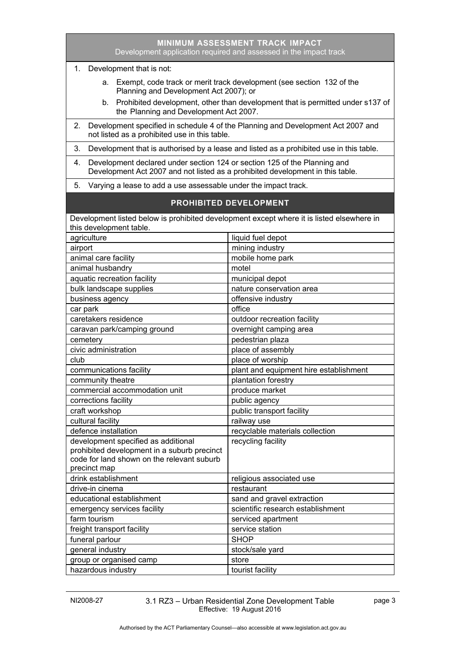|                                                                                                                                                                   | Development application required and assessed in the impact track                                                                 |  |  |  |
|-------------------------------------------------------------------------------------------------------------------------------------------------------------------|-----------------------------------------------------------------------------------------------------------------------------------|--|--|--|
| 1. Development that is not:                                                                                                                                       |                                                                                                                                   |  |  |  |
|                                                                                                                                                                   | a. Exempt, code track or merit track development (see section 132 of the<br>Planning and Development Act 2007); or                |  |  |  |
| b.                                                                                                                                                                | Prohibited development, other than development that is permitted under s137 of<br>the Planning and Development Act 2007.          |  |  |  |
| 2.                                                                                                                                                                | Development specified in schedule 4 of the Planning and Development Act 2007 and<br>not listed as a prohibited use in this table. |  |  |  |
| 3.                                                                                                                                                                | Development that is authorised by a lease and listed as a prohibited use in this table.                                           |  |  |  |
| Development declared under section 124 or section 125 of the Planning and<br>4.<br>Development Act 2007 and not listed as a prohibited development in this table. |                                                                                                                                   |  |  |  |
| 5.                                                                                                                                                                | Varying a lease to add a use assessable under the impact track.                                                                   |  |  |  |
|                                                                                                                                                                   | <b>PROHIBITED DEVELOPMENT</b>                                                                                                     |  |  |  |
| Development listed below is prohibited development except where it is listed elsewhere in                                                                         |                                                                                                                                   |  |  |  |
| this development table.                                                                                                                                           |                                                                                                                                   |  |  |  |
| agriculture                                                                                                                                                       | liquid fuel depot                                                                                                                 |  |  |  |
| airport                                                                                                                                                           | mining industry                                                                                                                   |  |  |  |
| animal care facility                                                                                                                                              | mobile home park                                                                                                                  |  |  |  |
| animal husbandry                                                                                                                                                  | motel                                                                                                                             |  |  |  |
| aquatic recreation facility                                                                                                                                       | municipal depot                                                                                                                   |  |  |  |
| bulk landscape supplies                                                                                                                                           | nature conservation area                                                                                                          |  |  |  |
| business agency                                                                                                                                                   | offensive industry                                                                                                                |  |  |  |
| car park                                                                                                                                                          | office                                                                                                                            |  |  |  |
| caretakers residence                                                                                                                                              | outdoor recreation facility                                                                                                       |  |  |  |
| caravan park/camping ground                                                                                                                                       | overnight camping area                                                                                                            |  |  |  |
| cemetery                                                                                                                                                          | pedestrian plaza                                                                                                                  |  |  |  |
| civic administration                                                                                                                                              | place of assembly                                                                                                                 |  |  |  |
| club                                                                                                                                                              | place of worship                                                                                                                  |  |  |  |
| communications facility                                                                                                                                           | plant and equipment hire establishment                                                                                            |  |  |  |
| community theatre                                                                                                                                                 | plantation forestry                                                                                                               |  |  |  |
| commercial accommodation unit                                                                                                                                     | produce market                                                                                                                    |  |  |  |
| corrections facility                                                                                                                                              | public agency                                                                                                                     |  |  |  |
| craft workshop                                                                                                                                                    | public transport facility                                                                                                         |  |  |  |
| cultural facility                                                                                                                                                 | railway use                                                                                                                       |  |  |  |
| defence installation                                                                                                                                              | recyclable materials collection                                                                                                   |  |  |  |
| development specified as additional<br>prohibited development in a suburb precinct<br>code for land shown on the relevant suburb                                  | recycling facility                                                                                                                |  |  |  |
| precinct map                                                                                                                                                      |                                                                                                                                   |  |  |  |
| drink establishment                                                                                                                                               | religious associated use                                                                                                          |  |  |  |
| drive-in cinema                                                                                                                                                   | restaurant                                                                                                                        |  |  |  |
| educational establishment                                                                                                                                         | sand and gravel extraction                                                                                                        |  |  |  |
| emergency services facility                                                                                                                                       | scientific research establishment                                                                                                 |  |  |  |
| farm tourism                                                                                                                                                      | serviced apartment                                                                                                                |  |  |  |
| freight transport facility                                                                                                                                        | service station                                                                                                                   |  |  |  |
| funeral parlour                                                                                                                                                   | <b>SHOP</b>                                                                                                                       |  |  |  |
| general industry                                                                                                                                                  | stock/sale yard                                                                                                                   |  |  |  |
| group or organised camp                                                                                                                                           | store                                                                                                                             |  |  |  |
| hazardous industry                                                                                                                                                | tourist facility                                                                                                                  |  |  |  |

**MINIMUM ASSESSMENT TRACK IMPACT**